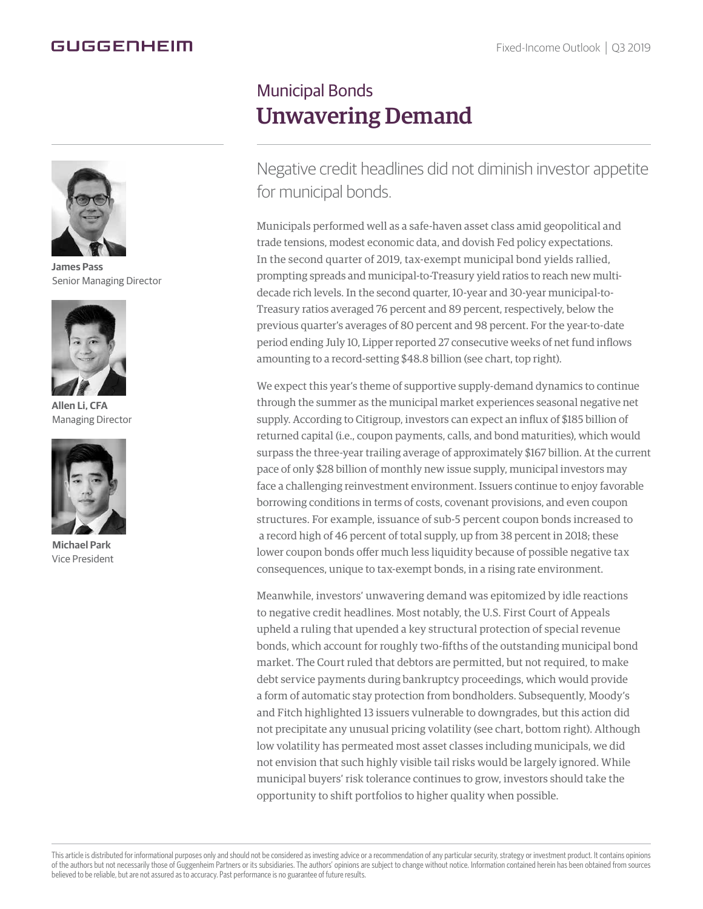## GUGGENHEIM



**James Pass** Senior Managing Director



**Allen Li, CFA** Managing Director



**Michael Park** Vice President

# Municipal Bonds Unwavering Demand

## Negative credit headlines did not diminish investor appetite for municipal bonds.

Municipals performed well as a safe-haven asset class amid geopolitical and trade tensions, modest economic data, and dovish Fed policy expectations. In the second quarter of 2019, tax-exempt municipal bond yields rallied, prompting spreads and municipal-to-Treasury yield ratios to reach new multidecade rich levels. In the second quarter, 10-year and 30-year municipal-to-Treasury ratios averaged 76 percent and 89 percent, respectively, below the previous quarter's averages of 80 percent and 98 percent. For the year-to-date period ending July 10, Lipper reported 27 consecutive weeks of net fund inflows amounting to a record-setting \$48.8 billion (see chart, top right).

We expect this year's theme of supportive supply-demand dynamics to continue through the summer as the municipal market experiences seasonal negative net supply. According to Citigroup, investors can expect an influx of \$185 billion of returned capital (i.e., coupon payments, calls, and bond maturities), which would surpass the three-year trailing average of approximately \$167 billion. At the current pace of only \$28 billion of monthly new issue supply, municipal investors may face a challenging reinvestment environment. Issuers continue to enjoy favorable borrowing conditions in terms of costs, covenant provisions, and even coupon structures. For example, issuance of sub-5 percent coupon bonds increased to a record high of 46 percent of total supply, up from 38 percent in 2018; these lower coupon bonds offer much less liquidity because of possible negative tax consequences, unique to tax-exempt bonds, in a rising rate environment.

Meanwhile, investors' unwavering demand was epitomized by idle reactions to negative credit headlines. Most notably, the U.S. First Court of Appeals upheld a ruling that upended a key structural protection of special revenue bonds, which account for roughly two-fifths of the outstanding municipal bond market. The Court ruled that debtors are permitted, but not required, to make debt service payments during bankruptcy proceedings, which would provide a form of automatic stay protection from bondholders. Subsequently, Moody's and Fitch highlighted 13 issuers vulnerable to downgrades, but this action did not precipitate any unusual pricing volatility (see chart, bottom right). Although low volatility has permeated most asset classes including municipals, we did not envision that such highly visible tail risks would be largely ignored. While municipal buyers' risk tolerance continues to grow, investors should take the opportunity to shift portfolios to higher quality when possible.

This article is distributed for informational purposes only and should not be considered as investing advice or a recommendation of any particular security, strategy or investment product. It contains opinions of the authors but not necessarily those of Guggenheim Partners or its subsidiaries. The authors' opinions are subject to change without notice. Information contained herein has been obtained from sources believed to be reliable, but are not assured as to accuracy. Past performance is no guarantee of future results.